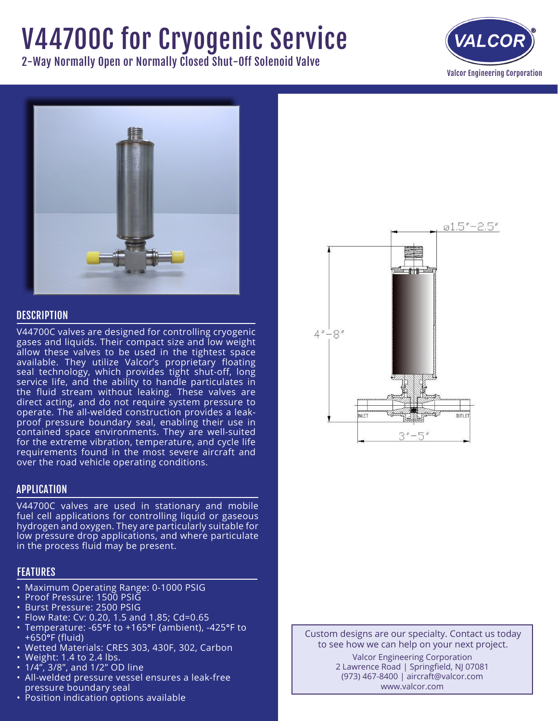# V44700C for Cryogenic Service

2-Way Normally Open or Normally Closed Shut-Off Solenoid Valve





## **DESCRIPTION**

V44700C valves are designed for controlling cryogenic gases and liquids. Their compact size and low weight allow these valves to be used in the tightest space available. They utilize Valcor's proprietary floating seal technology, which provides tight shut-off, long service life, and the ability to handle particulates in the fluid stream without leaking. These valves are direct acting, and do not require system pressure to operate. The all-welded construction provides a leakproof pressure boundary seal, enabling their use in contained space environments. They are well-suited for the extreme vibration, temperature, and cycle life requirements found in the most severe aircraft and over the road vehicle operating conditions.

### APPLICATION

V44700C valves are used in stationary and mobile fuel cell applications for controlling liquid or gaseous hydrogen and oxygen. They are particularly suitable for low pressure drop applications, and where particulate in the process fluid may be present.

## FEATURES

- Maximum Operating Range: 0-1000 PSIG
- Proof Pressure: 1500 PSIG
- • Burst Pressure: 2500 PSIG
- • Flow Rate: Cv: 0.20, 1.5 and 1.85; Cd=0.65
- • Temperature: -65°F to +165°F (ambient), -425°F to +650°F (fluid)
- Wetted Materials: CRES 303, 430F, 302, Carbon
- $\cdot$  Weight: 1.4 to 2.4 lbs.
- $1/4$ ,  $3/8$ , and  $1/2$  OD line
- All-welded pressure vessel ensures a leak-free pressure boundary seal
- Position indication options available



Custom designs are our specialty. Contact us today to see how we can help on your next project. Valcor Engineering Corporation 2 Lawrence Road | Springfield, NJ 07081 (973) 467-8400 | aircraft@valcor.com www.valcor.com